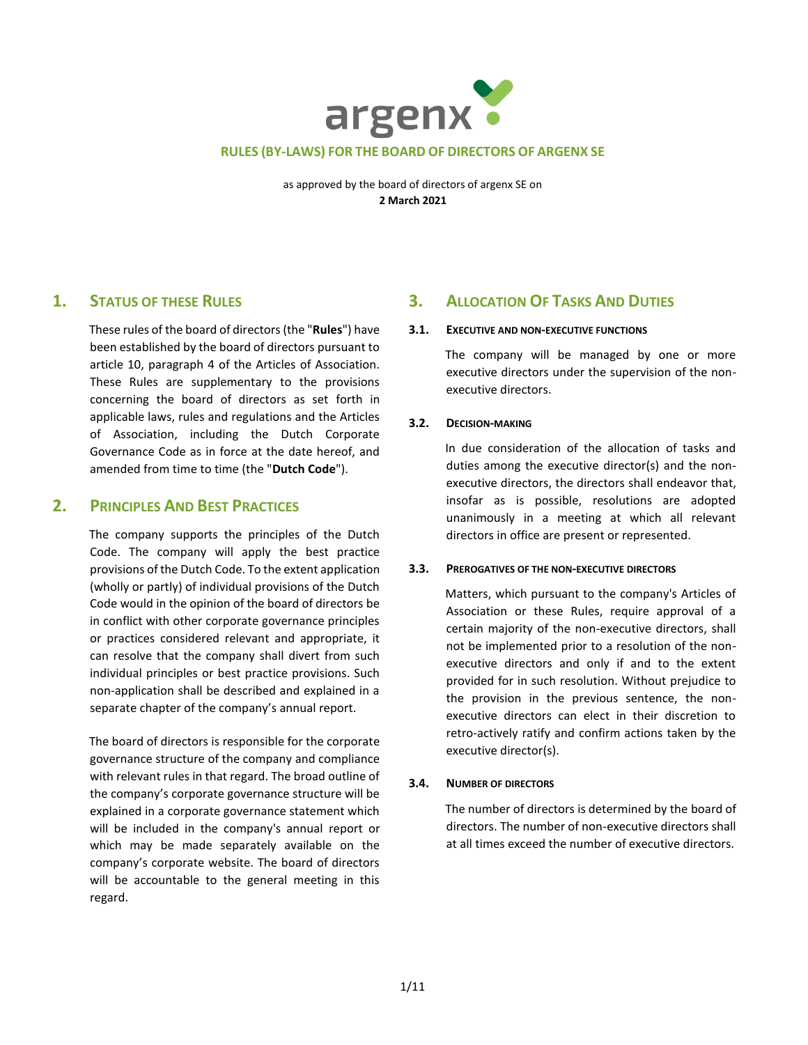

as approved by the board of directors of argenx SE on **2 March 2021**

# **1. STATUS OF THESE RULES**

These rules of the board of directors (the "**Rules**") have been established by the board of directors pursuant to article 10, paragraph 4 of the Articles of Association. These Rules are supplementary to the provisions concerning the board of directors as set forth in applicable laws, rules and regulations and the Articles of Association, including the Dutch Corporate Governance Code as in force at the date hereof, and amended from time to time (the "**Dutch Code**").

# **2. PRINCIPLES AND BEST PRACTICES**

The company supports the principles of the Dutch Code. The company will apply the best practice provisions of the Dutch Code. To the extent application (wholly or partly) of individual provisions of the Dutch Code would in the opinion of the board of directors be in conflict with other corporate governance principles or practices considered relevant and appropriate, it can resolve that the company shall divert from such individual principles or best practice provisions. Such non-application shall be described and explained in a separate chapter of the company's annual report.

The board of directors is responsible for the corporate governance structure of the company and compliance with relevant rules in that regard. The broad outline of the company's corporate governance structure will be explained in a corporate governance statement which will be included in the company's annual report or which may be made separately available on the company's corporate website. The board of directors will be accountable to the general meeting in this regard.

# **3. ALLOCATION OF TASKS AND DUTIES**

### **3.1. EXECUTIVE AND NON-EXECUTIVE FUNCTIONS**

The company will be managed by one or more executive directors under the supervision of the nonexecutive directors.

# **3.2. DECISION-MAKING**

In due consideration of the allocation of tasks and duties among the executive director(s) and the nonexecutive directors, the directors shall endeavor that, insofar as is possible, resolutions are adopted unanimously in a meeting at which all relevant directors in office are present or represented.

# **3.3. PREROGATIVES OF THE NON-EXECUTIVE DIRECTORS**

Matters, which pursuant to the company's Articles of Association or these Rules, require approval of a certain majority of the non-executive directors, shall not be implemented prior to a resolution of the nonexecutive directors and only if and to the extent provided for in such resolution. Without prejudice to the provision in the previous sentence, the nonexecutive directors can elect in their discretion to retro-actively ratify and confirm actions taken by the executive director(s).

# **3.4. NUMBER OF DIRECTORS**

The number of directors is determined by the board of directors. The number of non-executive directors shall at all times exceed the number of executive directors.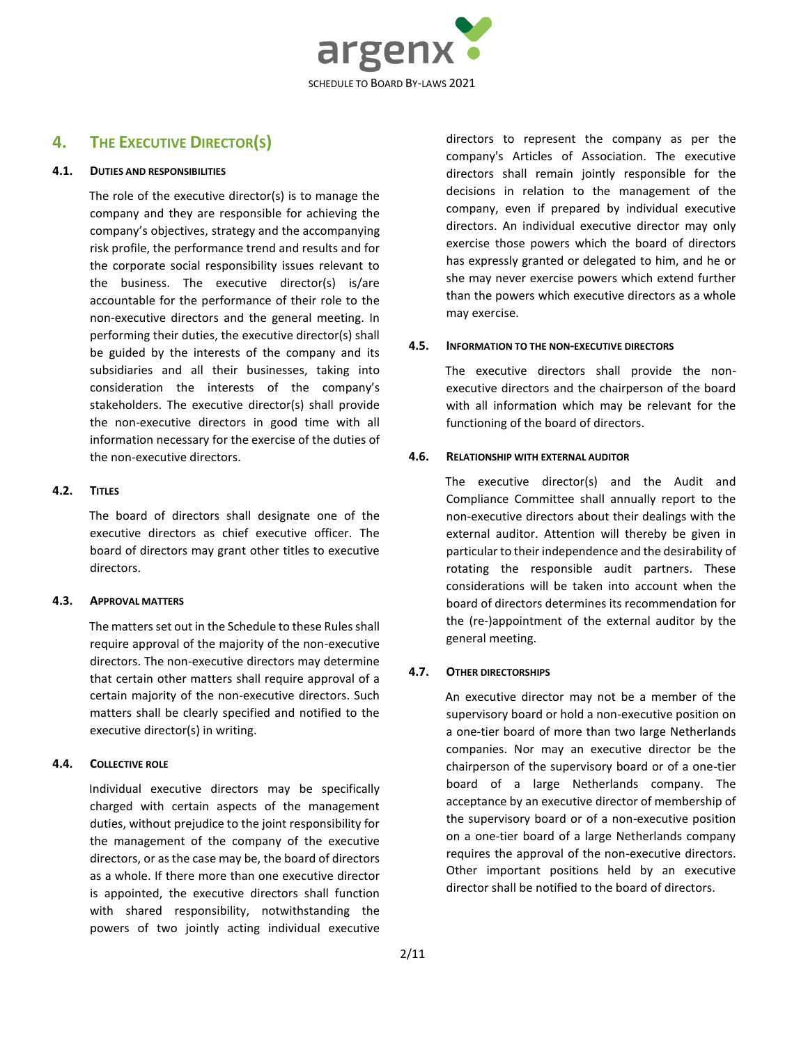

# **4. THE EXECUTIVE DIRECTOR(S)**

#### **4.1. DUTIES AND RESPONSIBILITIES**

The role of the executive director(s) is to manage the company and they are responsible for achieving the company's objectives, strategy and the accompanying risk profile, the performance trend and results and for the corporate social responsibility issues relevant to the business. The executive director(s) is/are accountable for the performance of their role to the non-executive directors and the general meeting. In performing their duties, the executive director(s) shall be guided by the interests of the company and its subsidiaries and all their businesses, taking into consideration the interests of the company's stakeholders. The executive director(s) shall provide the non-executive directors in good time with all information necessary for the exercise of the duties of the non-executive directors.

### **4.2. TITLES**

The board of directors shall designate one of the executive directors as chief executive officer. The board of directors may grant other titles to executive directors.

#### **4.3. APPROVAL MATTERS**

The matters set out in the Schedule to these Rules shall require approval of the majority of the non-executive directors. The non-executive directors may determine that certain other matters shall require approval of a certain majority of the non-executive directors. Such matters shall be clearly specified and notified to the executive director(s) in writing.

# **4.4. COLLECTIVE ROLE**

Individual executive directors may be specifically charged with certain aspects of the management duties, without prejudice to the joint responsibility for the management of the company of the executive directors, or as the case may be, the board of directors as a whole. If there more than one executive director is appointed, the executive directors shall function with shared responsibility, notwithstanding the powers of two jointly acting individual executive

directors to represent the company as per the company's Articles of Association. The executive directors shall remain jointly responsible for the decisions in relation to the management of the company, even if prepared by individual executive directors. An individual executive director may only exercise those powers which the board of directors has expressly granted or delegated to him, and he or she may never exercise powers which extend further than the powers which executive directors as a whole may exercise.

### **4.5. INFORMATION TO THE NON-EXECUTIVE DIRECTORS**

The executive directors shall provide the nonexecutive directors and the chairperson of the board with all information which may be relevant for the functioning of the board of directors.

### **4.6. RELATIONSHIP WITH EXTERNAL AUDITOR**

The executive director(s) and the Audit and Compliance Committee shall annually report to the non-executive directors about their dealings with the external auditor. Attention will thereby be given in particular to their independence and the desirability of rotating the responsible audit partners. These considerations will be taken into account when the board of directors determines its recommendation for the (re-)appointment of the external auditor by the general meeting.

# **4.7. OTHER DIRECTORSHIPS**

An executive director may not be a member of the supervisory board or hold a non-executive position on a one-tier board of more than two large Netherlands companies. Nor may an executive director be the chairperson of the supervisory board or of a one-tier board of a large Netherlands company. The acceptance by an executive director of membership of the supervisory board or of a non-executive position on a one-tier board of a large Netherlands company requires the approval of the non-executive directors. Other important positions held by an executive director shall be notified to the board of directors.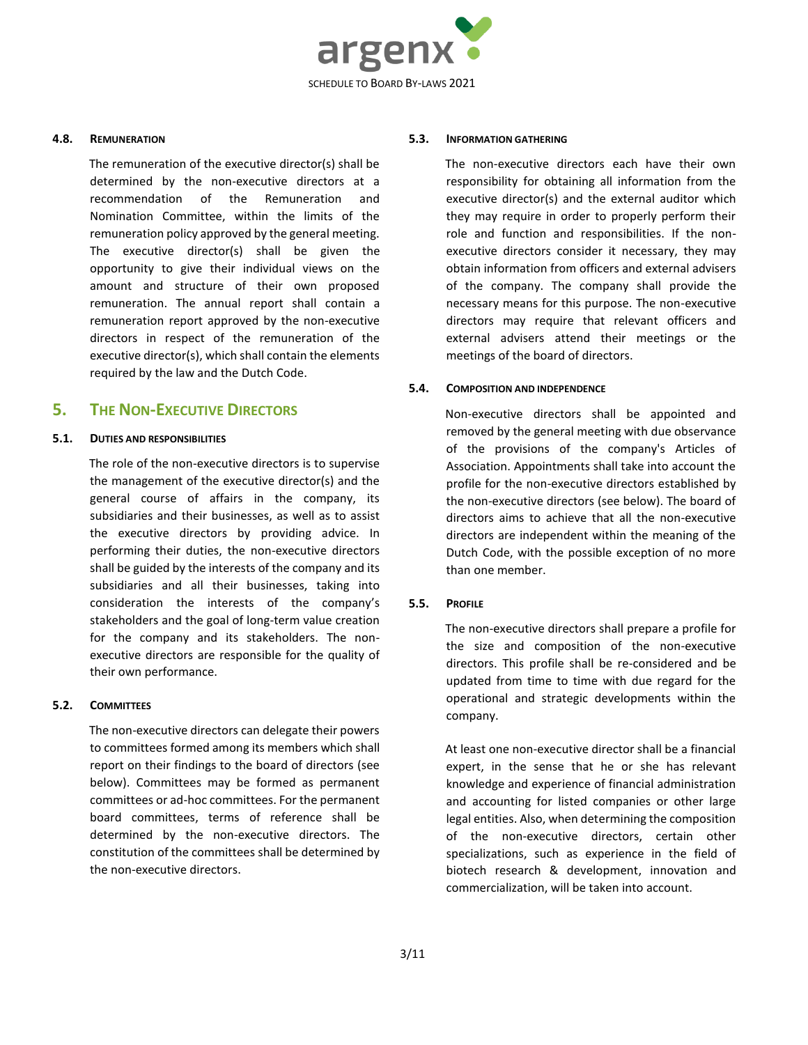

#### **4.8. REMUNERATION**

The remuneration of the executive director(s) shall be determined by the non-executive directors at a recommendation of the Remuneration and Nomination Committee, within the limits of the remuneration policy approved by the general meeting. The executive director(s) shall be given the opportunity to give their individual views on the amount and structure of their own proposed remuneration. The annual report shall contain a remuneration report approved by the non-executive directors in respect of the remuneration of the executive director(s), which shall contain the elements required by the law and the Dutch Code.

# **5. THE NON-EXECUTIVE DIRECTORS**

#### **5.1. DUTIES AND RESPONSIBILITIES**

The role of the non-executive directors is to supervise the management of the executive director(s) and the general course of affairs in the company, its subsidiaries and their businesses, as well as to assist the executive directors by providing advice. In performing their duties, the non-executive directors shall be guided by the interests of the company and its subsidiaries and all their businesses, taking into consideration the interests of the company's stakeholders and the goal of long-term value creation for the company and its stakeholders. The nonexecutive directors are responsible for the quality of their own performance.

#### **5.2. COMMITTEES**

The non-executive directors can delegate their powers to committees formed among its members which shall report on their findings to the board of directors (see below). Committees may be formed as permanent committees or ad-hoc committees. For the permanent board committees, terms of reference shall be determined by the non-executive directors. The constitution of the committees shall be determined by the non-executive directors.

#### **5.3. INFORMATION GATHERING**

The non-executive directors each have their own responsibility for obtaining all information from the executive director(s) and the external auditor which they may require in order to properly perform their role and function and responsibilities. If the nonexecutive directors consider it necessary, they may obtain information from officers and external advisers of the company. The company shall provide the necessary means for this purpose. The non-executive directors may require that relevant officers and external advisers attend their meetings or the meetings of the board of directors.

#### **5.4. COMPOSITION AND INDEPENDENCE**

Non-executive directors shall be appointed and removed by the general meeting with due observance of the provisions of the company's Articles of Association. Appointments shall take into account the profile for the non-executive directors established by the non-executive directors (see below). The board of directors aims to achieve that all the non-executive directors are independent within the meaning of the Dutch Code, with the possible exception of no more than one member.

#### <span id="page-2-0"></span>**5.5. PROFILE**

The non-executive directors shall prepare a profile for the size and composition of the non-executive directors. This profile shall be re-considered and be updated from time to time with due regard for the operational and strategic developments within the company.

At least one non-executive director shall be a financial expert, in the sense that he or she has relevant knowledge and experience of financial administration and accounting for listed companies or other large legal entities. Also, when determining the composition of the non-executive directors, certain other specializations, such as experience in the field of biotech research & development, innovation and commercialization, will be taken into account.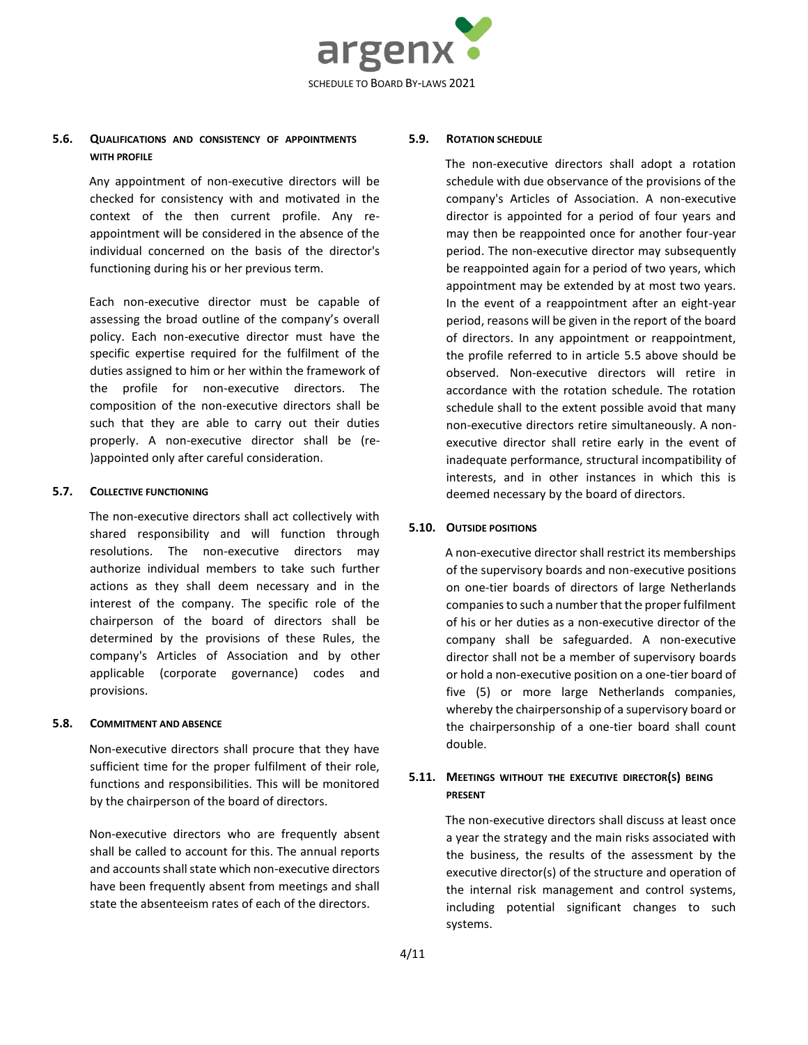

# **5.6. QUALIFICATIONS AND CONSISTENCY OF APPOINTMENTS WITH PROFILE**

Any appointment of non-executive directors will be checked for consistency with and motivated in the context of the then current profile. Any reappointment will be considered in the absence of the individual concerned on the basis of the director's functioning during his or her previous term.

Each non-executive director must be capable of assessing the broad outline of the company's overall policy. Each non-executive director must have the specific expertise required for the fulfilment of the duties assigned to him or her within the framework of the profile for non-executive directors. The composition of the non-executive directors shall be such that they are able to carry out their duties properly. A non-executive director shall be (re- )appointed only after careful consideration.

#### **5.7. COLLECTIVE FUNCTIONING**

The non-executive directors shall act collectively with shared responsibility and will function through resolutions. The non-executive directors may authorize individual members to take such further actions as they shall deem necessary and in the interest of the company. The specific role of the chairperson of the board of directors shall be determined by the provisions of these Rules, the company's Articles of Association and by other applicable (corporate governance) codes and provisions.

#### **5.8. COMMITMENT AND ABSENCE**

Non-executive directors shall procure that they have sufficient time for the proper fulfilment of their role, functions and responsibilities. This will be monitored by the chairperson of the board of directors.

Non-executive directors who are frequently absent shall be called to account for this. The annual reports and accounts shall state which non-executive directors have been frequently absent from meetings and shall state the absenteeism rates of each of the directors.

#### **5.9. ROTATION SCHEDULE**

The non-executive directors shall adopt a rotation schedule with due observance of the provisions of the company's Articles of Association. A non-executive director is appointed for a period of four years and may then be reappointed once for another four-year period. The non-executive director may subsequently be reappointed again for a period of two years, which appointment may be extended by at most two years. In the event of a reappointment after an eight-year period, reasons will be given in the report of the board of directors. In any appointment or reappointment, the profile referred to in article [5.5](#page-2-0) above should be observed. Non-executive directors will retire in accordance with the rotation schedule. The rotation schedule shall to the extent possible avoid that many non-executive directors retire simultaneously. A nonexecutive director shall retire early in the event of inadequate performance, structural incompatibility of interests, and in other instances in which this is deemed necessary by the board of directors.

# **5.10. OUTSIDE POSITIONS**

A non-executive director shall restrict its memberships of the supervisory boards and non-executive positions on one-tier boards of directors of large Netherlands companies to such a number that the proper fulfilment of his or her duties as a non-executive director of the company shall be safeguarded. A non-executive director shall not be a member of supervisory boards or hold a non-executive position on a one-tier board of five (5) or more large Netherlands companies, whereby the chairpersonship of a supervisory board or the chairpersonship of a one-tier board shall count double.

# **5.11. MEETINGS WITHOUT THE EXECUTIVE DIRECTOR(S) BEING PRESENT**

The non-executive directors shall discuss at least once a year the strategy and the main risks associated with the business, the results of the assessment by the executive director(s) of the structure and operation of the internal risk management and control systems, including potential significant changes to such systems.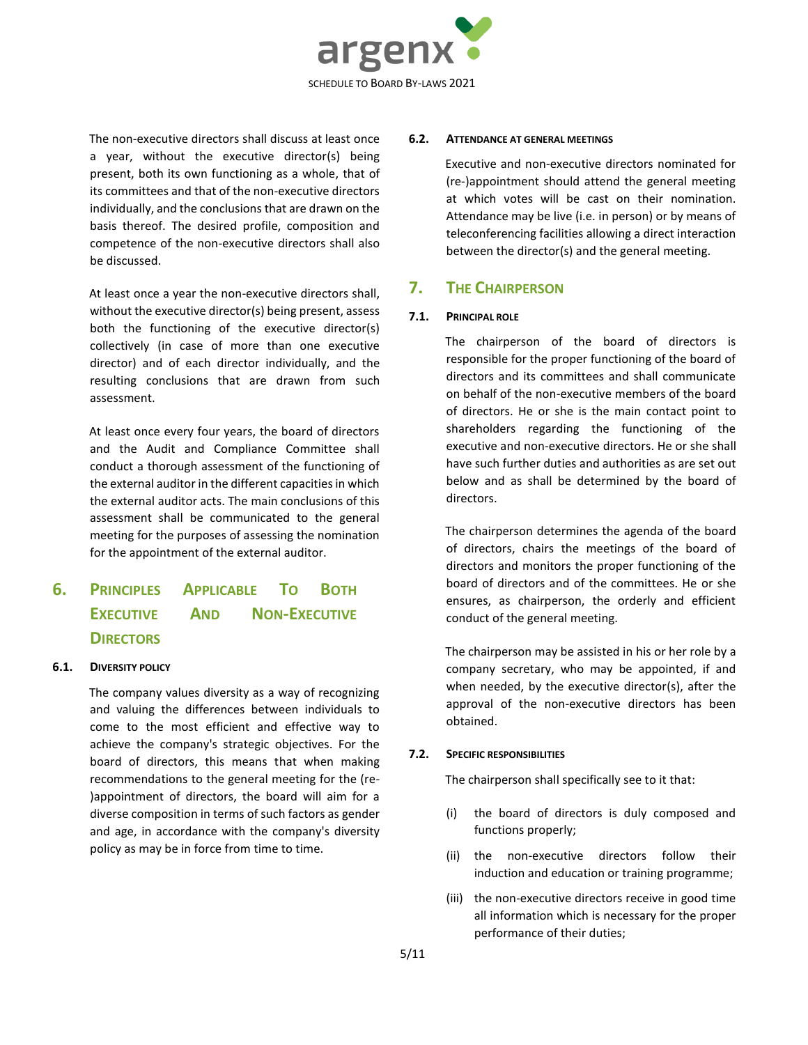

The non-executive directors shall discuss at least once a year, without the executive director(s) being present, both its own functioning as a whole, that of its committees and that of the non-executive directors individually, and the conclusions that are drawn on the basis thereof. The desired profile, composition and competence of the non-executive directors shall also be discussed.

At least once a year the non-executive directors shall, without the executive director(s) being present, assess both the functioning of the executive director(s) collectively (in case of more than one executive director) and of each director individually, and the resulting conclusions that are drawn from such assessment.

At least once every four years, the board of directors and the Audit and Compliance Committee shall conduct a thorough assessment of the functioning of the external auditor in the different capacities in which the external auditor acts. The main conclusions of this assessment shall be communicated to the general meeting for the purposes of assessing the nomination for the appointment of the external auditor.

# **6. PRINCIPLES APPLICABLE TO BOTH EXECUTIVE AND NON-EXECUTIVE DIRECTORS**

#### **6.1. DIVERSITY POLICY**

The company values diversity as a way of recognizing and valuing the differences between individuals to come to the most efficient and effective way to achieve the company's strategic objectives. For the board of directors, this means that when making recommendations to the general meeting for the (re- )appointment of directors, the board will aim for a diverse composition in terms of such factors as gender and age, in accordance with the company's diversity policy as may be in force from time to time.

#### **6.2. ATTENDANCE AT GENERAL MEETINGS**

Executive and non-executive directors nominated for (re-)appointment should attend the general meeting at which votes will be cast on their nomination. Attendance may be live (i.e. in person) or by means of teleconferencing facilities allowing a direct interaction between the director(s) and the general meeting.

# **7. THE CHAIRPERSON**

#### **7.1. PRINCIPAL ROLE**

The chairperson of the board of directors is responsible for the proper functioning of the board of directors and its committees and shall communicate on behalf of the non-executive members of the board of directors. He or she is the main contact point to shareholders regarding the functioning of the executive and non-executive directors. He or she shall have such further duties and authorities as are set out below and as shall be determined by the board of directors.

The chairperson determines the agenda of the board of directors, chairs the meetings of the board of directors and monitors the proper functioning of the board of directors and of the committees. He or she ensures, as chairperson, the orderly and efficient conduct of the general meeting.

The chairperson may be assisted in his or her role by a company secretary, who may be appointed, if and when needed, by the executive director(s), after the approval of the non-executive directors has been obtained.

#### **7.2. SPECIFIC RESPONSIBILITIES**

The chairperson shall specifically see to it that:

- (i) the board of directors is duly composed and functions properly;
- (ii) the non-executive directors follow their induction and education or training programme;
- (iii) the non-executive directors receive in good time all information which is necessary for the proper performance of their duties;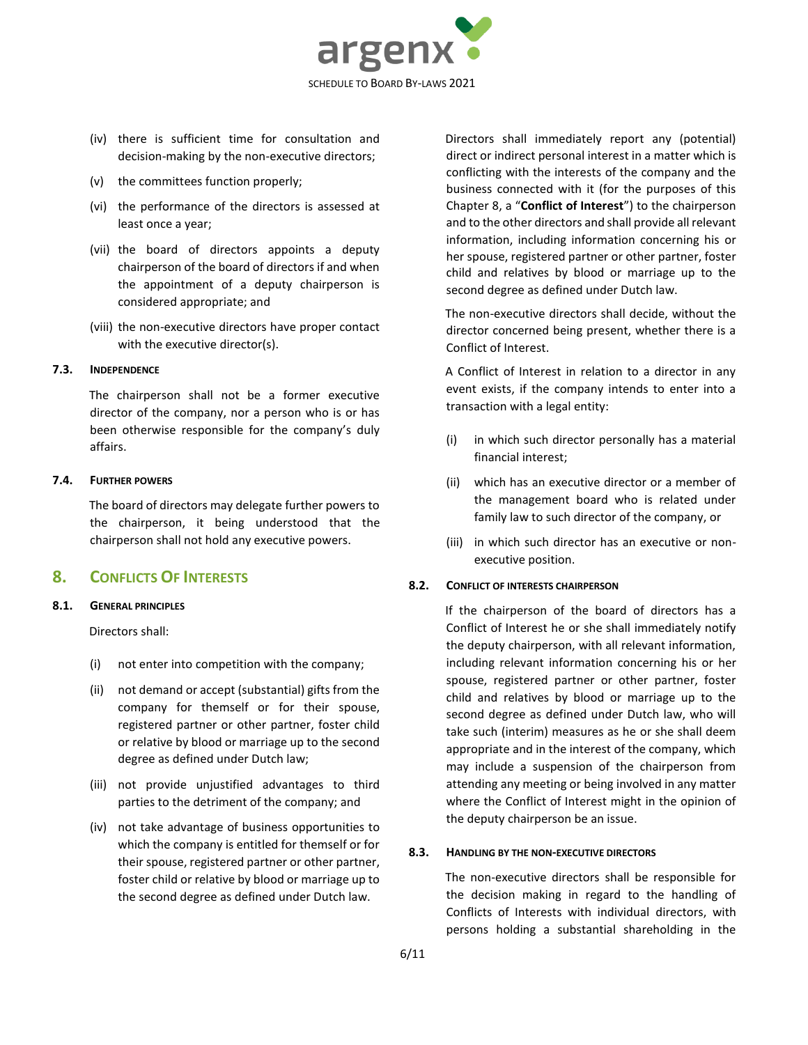

- (iv) there is sufficient time for consultation and decision-making by the non-executive directors;
- (v) the committees function properly;
- (vi) the performance of the directors is assessed at least once a year;
- (vii) the board of directors appoints a deputy chairperson of the board of directors if and when the appointment of a deputy chairperson is considered appropriate; and
- (viii) the non-executive directors have proper contact with the executive director(s).

#### **7.3. INDEPENDENCE**

The chairperson shall not be a former executive director of the company, nor a person who is or has been otherwise responsible for the company's duly affairs.

### **7.4. FURTHER POWERS**

The board of directors may delegate further powers to the chairperson, it being understood that the chairperson shall not hold any executive powers.

# <span id="page-5-0"></span>**8. CONFLICTS OF INTERESTS**

# **8.1. GENERAL PRINCIPLES**

Directors shall:

- (i) not enter into competition with the company;
- (ii) not demand or accept (substantial) gifts from the company for themself or for their spouse, registered partner or other partner, foster child or relative by blood or marriage up to the second degree as defined under Dutch law;
- (iii) not provide unjustified advantages to third parties to the detriment of the company; and
- (iv) not take advantage of business opportunities to which the company is entitled for themself or for their spouse, registered partner or other partner, foster child or relative by blood or marriage up to the second degree as defined under Dutch law.

Directors shall immediately report any (potential) direct or indirect personal interest in a matter which is conflicting with the interests of the company and the business connected with it (for the purposes of this Chapter [8](#page-5-0), a "**Conflict of Interest**") to the chairperson and to the other directors and shall provide all relevant information, including information concerning his or her spouse, registered partner or other partner, foster child and relatives by blood or marriage up to the second degree as defined under Dutch law.

The non-executive directors shall decide, without the director concerned being present, whether there is a Conflict of Interest.

A Conflict of Interest in relation to a director in any event exists, if the company intends to enter into a transaction with a legal entity:

- (i) in which such director personally has a material financial interest;
- (ii) which has an executive director or a member of the management board who is related under family law to such director of the company, or
- (iii) in which such director has an executive or nonexecutive position.

# **8.2. CONFLICT OF INTERESTS CHAIRPERSON**

If the chairperson of the board of directors has a Conflict of Interest he or she shall immediately notify the deputy chairperson, with all relevant information, including relevant information concerning his or her spouse, registered partner or other partner, foster child and relatives by blood or marriage up to the second degree as defined under Dutch law, who will take such (interim) measures as he or she shall deem appropriate and in the interest of the company, which may include a suspension of the chairperson from attending any meeting or being involved in any matter where the Conflict of Interest might in the opinion of the deputy chairperson be an issue.

#### **8.3. HANDLING BY THE NON-EXECUTIVE DIRECTORS**

The non-executive directors shall be responsible for the decision making in regard to the handling of Conflicts of Interests with individual directors, with persons holding a substantial shareholding in the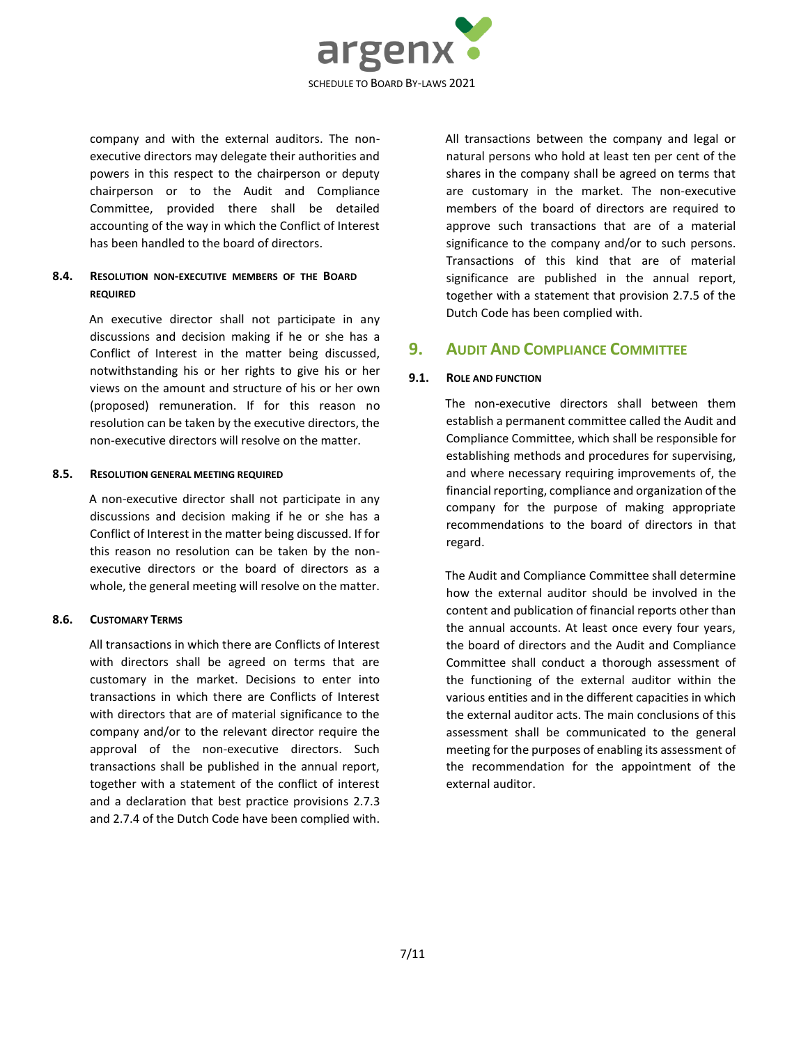

company and with the external auditors. The nonexecutive directors may delegate their authorities and powers in this respect to the chairperson or deputy chairperson or to the Audit and Compliance Committee, provided there shall be detailed accounting of the way in which the Conflict of Interest has been handled to the board of directors.

# **8.4. RESOLUTION NON-EXECUTIVE MEMBERS OF THE BOARD REQUIRED**

An executive director shall not participate in any discussions and decision making if he or she has a Conflict of Interest in the matter being discussed, notwithstanding his or her rights to give his or her views on the amount and structure of his or her own (proposed) remuneration. If for this reason no resolution can be taken by the executive directors, the non-executive directors will resolve on the matter.

#### **8.5. RESOLUTION GENERAL MEETING REQUIRED**

A non-executive director shall not participate in any discussions and decision making if he or she has a Conflict of Interest in the matter being discussed. If for this reason no resolution can be taken by the nonexecutive directors or the board of directors as a whole, the general meeting will resolve on the matter.

#### **8.6. CUSTOMARY TERMS**

All transactions in which there are Conflicts of Interest with directors shall be agreed on terms that are customary in the market. Decisions to enter into transactions in which there are Conflicts of Interest with directors that are of material significance to the company and/or to the relevant director require the approval of the non-executive directors. Such transactions shall be published in the annual report, together with a statement of the conflict of interest and a declaration that best practice provisions 2.7.3 and 2.7.4 of the Dutch Code have been complied with.

All transactions between the company and legal or natural persons who hold at least ten per cent of the shares in the company shall be agreed on terms that are customary in the market. The non-executive members of the board of directors are required to approve such transactions that are of a material significance to the company and/or to such persons. Transactions of this kind that are of material significance are published in the annual report, together with a statement that provision 2.7.5 of the Dutch Code has been complied with.

# **9. AUDIT AND COMPLIANCE COMMITTEE**

#### **9.1. ROLE AND FUNCTION**

The non-executive directors shall between them establish a permanent committee called the Audit and Compliance Committee, which shall be responsible for establishing methods and procedures for supervising, and where necessary requiring improvements of, the financial reporting, compliance and organization of the company for the purpose of making appropriate recommendations to the board of directors in that regard.

The Audit and Compliance Committee shall determine how the external auditor should be involved in the content and publication of financial reports other than the annual accounts. At least once every four years, the board of directors and the Audit and Compliance Committee shall conduct a thorough assessment of the functioning of the external auditor within the various entities and in the different capacities in which the external auditor acts. The main conclusions of this assessment shall be communicated to the general meeting for the purposes of enabling its assessment of the recommendation for the appointment of the external auditor.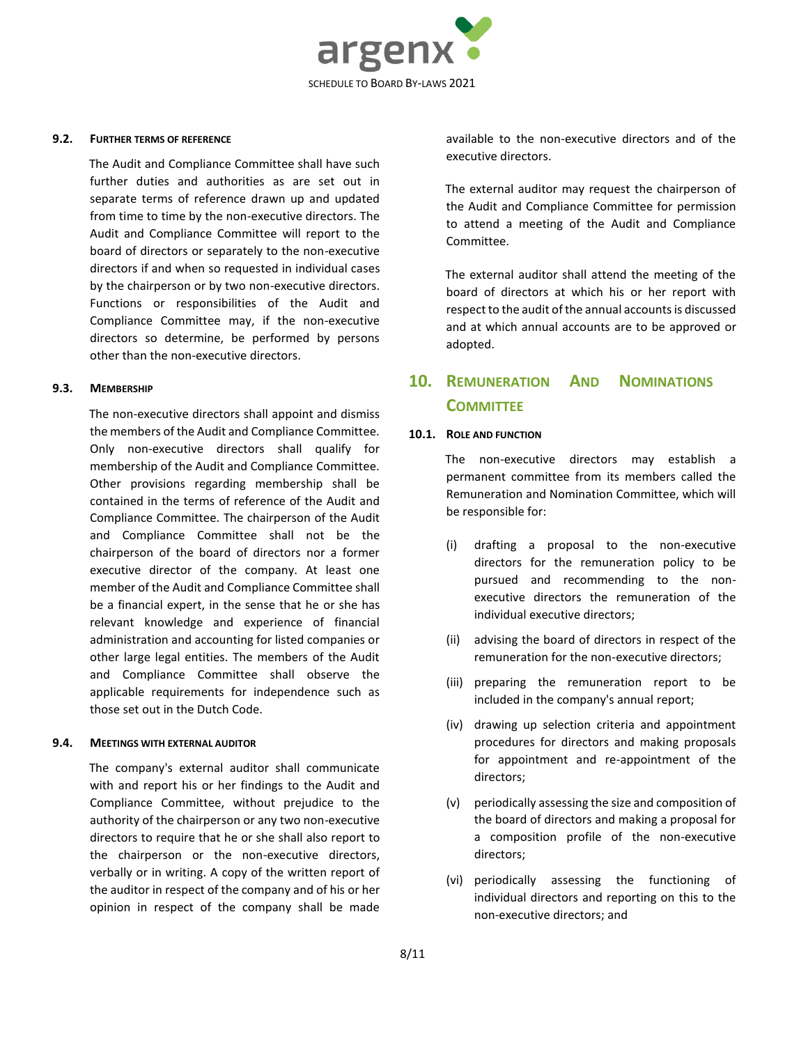

#### **9.2. FURTHER TERMS OF REFERENCE**

The Audit and Compliance Committee shall have such further duties and authorities as are set out in separate terms of reference drawn up and updated from time to time by the non-executive directors. The Audit and Compliance Committee will report to the board of directors or separately to the non-executive directors if and when so requested in individual cases by the chairperson or by two non-executive directors. Functions or responsibilities of the Audit and Compliance Committee may, if the non-executive directors so determine, be performed by persons other than the non-executive directors.

#### **9.3. MEMBERSHIP**

The non-executive directors shall appoint and dismiss the members of the Audit and Compliance Committee. Only non-executive directors shall qualify for membership of the Audit and Compliance Committee. Other provisions regarding membership shall be contained in the terms of reference of the Audit and Compliance Committee. The chairperson of the Audit and Compliance Committee shall not be the chairperson of the board of directors nor a former executive director of the company. At least one member of the Audit and Compliance Committee shall be a financial expert, in the sense that he or she has relevant knowledge and experience of financial administration and accounting for listed companies or other large legal entities. The members of the Audit and Compliance Committee shall observe the applicable requirements for independence such as those set out in the Dutch Code.

#### **9.4. MEETINGS WITH EXTERNAL AUDITOR**

The company's external auditor shall communicate with and report his or her findings to the Audit and Compliance Committee, without prejudice to the authority of the chairperson or any two non-executive directors to require that he or she shall also report to the chairperson or the non-executive directors, verbally or in writing. A copy of the written report of the auditor in respect of the company and of his or her opinion in respect of the company shall be made available to the non-executive directors and of the executive directors.

The external auditor may request the chairperson of the Audit and Compliance Committee for permission to attend a meeting of the Audit and Compliance Committee.

The external auditor shall attend the meeting of the board of directors at which his or her report with respect to the audit of the annual accounts is discussed and at which annual accounts are to be approved or adopted.

# **10. REMUNERATION AND NOMINATIONS COMMITTEE**

#### **10.1. ROLE AND FUNCTION**

The non-executive directors may establish a permanent committee from its members called the Remuneration and Nomination Committee, which will be responsible for:

- (i) drafting a proposal to the non-executive directors for the remuneration policy to be pursued and recommending to the nonexecutive directors the remuneration of the individual executive directors;
- (ii) advising the board of directors in respect of the remuneration for the non-executive directors;
- (iii) preparing the remuneration report to be included in the company's annual report;
- (iv) drawing up selection criteria and appointment procedures for directors and making proposals for appointment and re-appointment of the directors;
- (v) periodically assessing the size and composition of the board of directors and making a proposal for a composition profile of the non-executive directors;
- (vi) periodically assessing the functioning of individual directors and reporting on this to the non-executive directors; and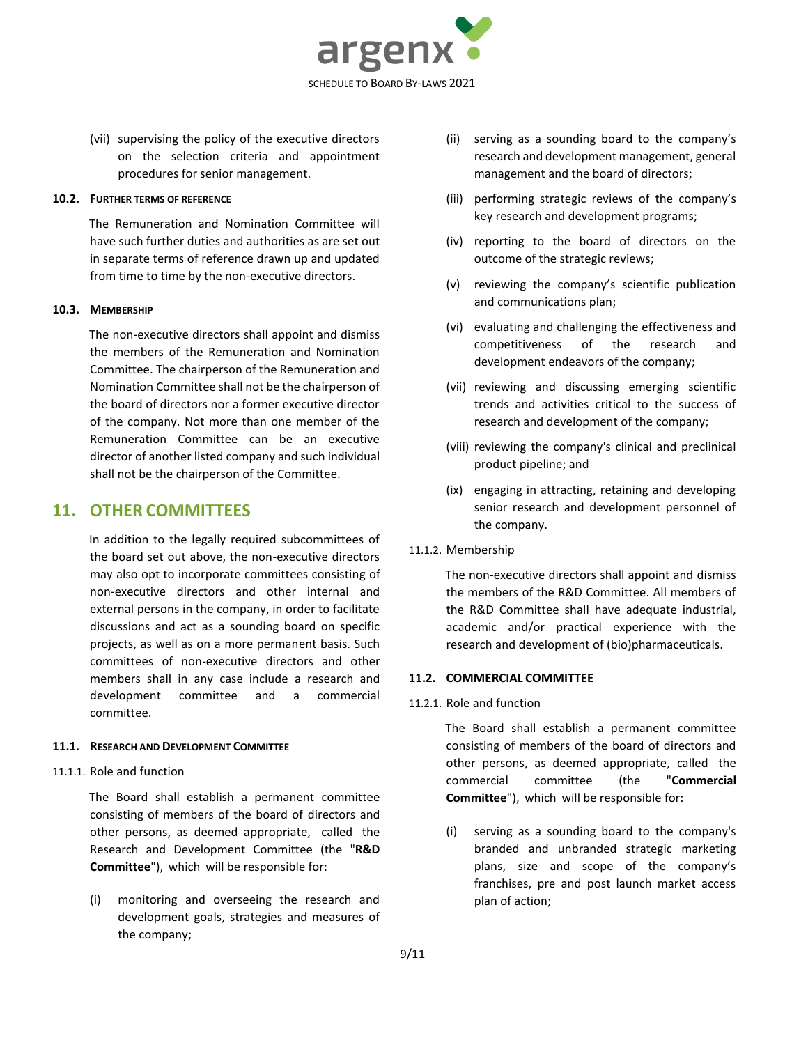

(vii) supervising the policy of the executive directors on the selection criteria and appointment procedures for senior management.

#### **10.2. FURTHER TERMS OF REFERENCE**

The Remuneration and Nomination Committee will have such further duties and authorities as are set out in separate terms of reference drawn up and updated from time to time by the non-executive directors.

#### **10.3. MEMBERSHIP**

The non-executive directors shall appoint and dismiss the members of the Remuneration and Nomination Committee. The chairperson of the Remuneration and Nomination Committee shall not be the chairperson of the board of directors nor a former executive director of the company. Not more than one member of the Remuneration Committee can be an executive director of another listed company and such individual shall not be the chairperson of the Committee.

# **11. OTHER COMMITTEES**

In addition to the legally required subcommittees of the board set out above, the non-executive directors may also opt to incorporate committees consisting of non-executive directors and other internal and external persons in the company, in order to facilitate discussions and act as a sounding board on specific projects, as well as on a more permanent basis. Such committees of non-executive directors and other members shall in any case include a research and development committee and a commercial committee.

### **11.1. RESEARCH AND DEVELOPMENT COMMITTEE**

#### 11.1.1. Role and function

The Board shall establish a permanent committee consisting of members of the board of directors and other persons, as deemed appropriate, called the Research and Development Committee (the "**R&D Committee**"), which will be responsible for:

(i) monitoring and overseeing the research and development goals, strategies and measures of the company;

- (ii) serving as a sounding board to the company's research and development management, general management and the board of directors;
- (iii) performing strategic reviews of the company's key research and development programs;
- (iv) reporting to the board of directors on the outcome of the strategic reviews;
- (v) reviewing the company's scientific publication and communications plan;
- (vi) evaluating and challenging the effectiveness and competitiveness of the research and development endeavors of the company;
- (vii) reviewing and discussing emerging scientific trends and activities critical to the success of research and development of the company;
- (viii) reviewing the company's clinical and preclinical product pipeline; and
- (ix) engaging in attracting, retaining and developing senior research and development personnel of the company.
- 11.1.2. Membership

The non-executive directors shall appoint and dismiss the members of the R&D Committee. All members of the R&D Committee shall have adequate industrial, academic and/or practical experience with the research and development of (bio)pharmaceuticals.

#### **11.2. COMMERCIAL COMMITTEE**

#### 11.2.1. Role and function

The Board shall establish a permanent committee consisting of members of the board of directors and other persons, as deemed appropriate, called the commercial committee (the "**Commercial Committee**"), which will be responsible for:

(i) serving as a sounding board to the company's branded and unbranded strategic marketing plans, size and scope of the company's franchises, pre and post launch market access plan of action;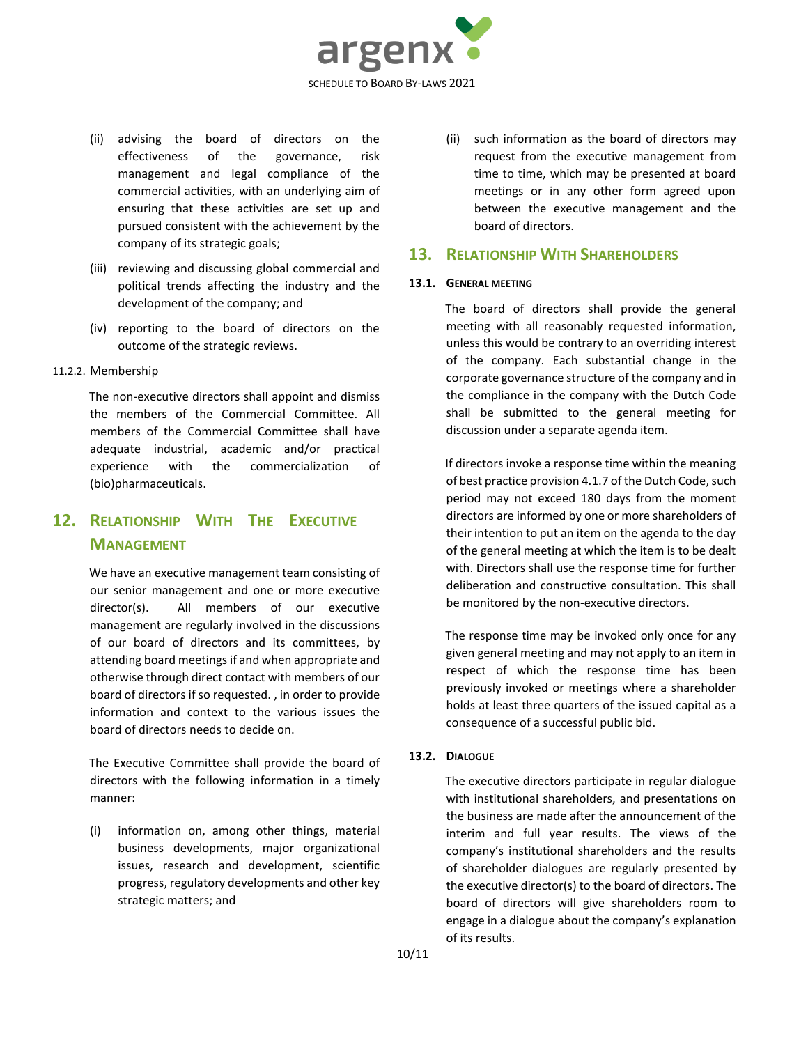

- (ii) advising the board of directors on the effectiveness of the governance, risk management and legal compliance of the commercial activities, with an underlying aim of ensuring that these activities are set up and pursued consistent with the achievement by the company of its strategic goals;
- (iii) reviewing and discussing global commercial and political trends affecting the industry and the development of the company; and
- (iv) reporting to the board of directors on the outcome of the strategic reviews.
- 11.2.2. Membership

The non-executive directors shall appoint and dismiss the members of the Commercial Committee. All members of the Commercial Committee shall have adequate industrial, academic and/or practical experience with the commercialization of (bio)pharmaceuticals.

# **12. RELATIONSHIP WITH THE EXECUTIVE MANAGEMENT**

We have an executive management team consisting of our senior management and one or more executive director(s). All members of our executive management are regularly involved in the discussions of our board of directors and its committees, by attending board meetings if and when appropriate and otherwise through direct contact with members of our board of directors if so requested. , in order to provide information and context to the various issues the board of directors needs to decide on.

The Executive Committee shall provide the board of directors with the following information in a timely manner:

(i) information on, among other things, material business developments, major organizational issues, research and development, scientific progress, regulatory developments and other key strategic matters; and

(ii) such information as the board of directors may request from the executive management from time to time, which may be presented at board meetings or in any other form agreed upon between the executive management and the board of directors.

# **13. RELATIONSHIP WITH SHAREHOLDERS**

### **13.1. GENERAL MEETING**

The board of directors shall provide the general meeting with all reasonably requested information, unless this would be contrary to an overriding interest of the company. Each substantial change in the corporate governance structure of the company and in the compliance in the company with the Dutch Code shall be submitted to the general meeting for discussion under a separate agenda item.

If directors invoke a response time within the meaning of best practice provision 4.1.7 of the Dutch Code, such period may not exceed 180 days from the moment directors are informed by one or more shareholders of their intention to put an item on the agenda to the day of the general meeting at which the item is to be dealt with. Directors shall use the response time for further deliberation and constructive consultation. This shall be monitored by the non-executive directors.

The response time may be invoked only once for any given general meeting and may not apply to an item in respect of which the response time has been previously invoked or meetings where a shareholder holds at least three quarters of the issued capital as a consequence of a successful public bid.

# **13.2. DIALOGUE**

The executive directors participate in regular dialogue with institutional shareholders, and presentations on the business are made after the announcement of the interim and full year results. The views of the company's institutional shareholders and the results of shareholder dialogues are regularly presented by the executive director(s) to the board of directors. The board of directors will give shareholders room to engage in a dialogue about the company's explanation of its results.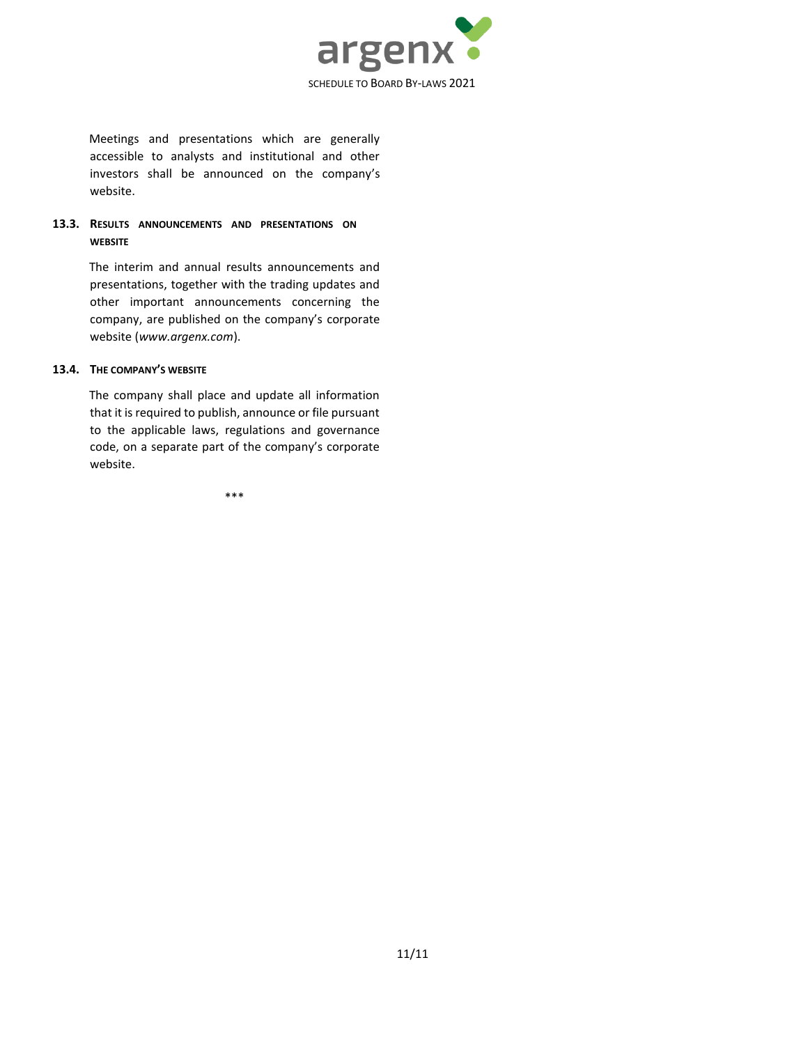

Meetings and presentations which are generally accessible to analysts and institutional and other investors shall be announced on the company's website.

# **13.3. RESULTS ANNOUNCEMENTS AND PRESENTATIONS ON WEBSITE**

The interim and annual results announcements and presentations, together with the trading updates and other important announcements concerning the company, are published on the company's corporate website (*www.argenx.com*).

#### **13.4. THE COMPANY'S WEBSITE**

The company shall place and update all information that it is required to publish, announce or file pursuant to the applicable laws, regulations and governance code, on a separate part of the company's corporate website.

\*\*\*